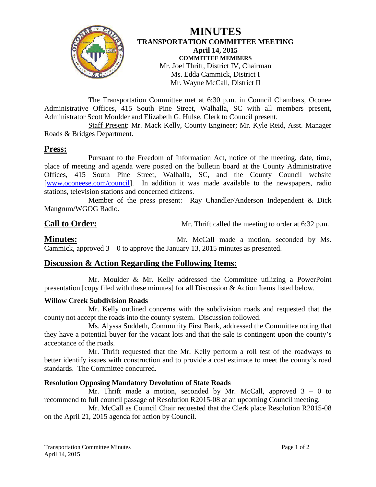

**MINUTES TRANSPORTATION COMMITTEE MEETING April 14, 2015 COMMITTEE MEMBERS** Mr. Joel Thrift, District IV, Chairman Ms. Edda Cammick, District I Mr. Wayne McCall, District II

The Transportation Committee met at 6:30 p.m. in Council Chambers, Oconee Administrative Offices, 415 South Pine Street, Walhalla, SC with all members present, Administrator Scott Moulder and Elizabeth G. Hulse, Clerk to Council present.

Staff Present: Mr. Mack Kelly, County Engineer; Mr. Kyle Reid, Asst. Manager Roads & Bridges Department.

## **Press:**

Pursuant to the Freedom of Information Act, notice of the meeting, date, time, place of meeting and agenda were posted on the bulletin board at the County Administrative Offices, 415 South Pine Street, Walhalla, SC, and the County Council website [\[www.oconeese.com/council\]](http://www.oconeese.com/council). In addition it was made available to the newspapers, radio stations, television stations and concerned citizens.

Member of the press present: Ray Chandler/Anderson Independent & Dick Mangrum/WGOG Radio.

**Call to Order:** Mr. Thrift called the meeting to order at 6:32 p.m.

**Minutes:** Mr. McCall made a motion, seconded by Ms. Cammick, approved  $3 - 0$  to approve the January 13, 2015 minutes as presented.

# **Discussion & Action Regarding the Following Items:**

Mr. Moulder & Mr. Kelly addressed the Committee utilizing a PowerPoint presentation [copy filed with these minutes] for all Discussion & Action Items listed below.

### **Willow Creek Subdivision Roads**

Mr. Kelly outlined concerns with the subdivision roads and requested that the county not accept the roads into the county system. Discussion followed.

Ms. Alyssa Suddeth, Community First Bank, addressed the Committee noting that they have a potential buyer for the vacant lots and that the sale is contingent upon the county's acceptance of the roads.

Mr. Thrift requested that the Mr. Kelly perform a roll test of the roadways to better identify issues with construction and to provide a cost estimate to meet the county's road standards. The Committee concurred.

### **Resolution Opposing Mandatory Devolution of State Roads**

Mr. Thrift made a motion, seconded by Mr. McCall, approved  $3 - 0$  to recommend to full council passage of Resolution R2015-08 at an upcoming Council meeting.

Mr. McCall as Council Chair requested that the Clerk place Resolution R2015-08 on the April 21, 2015 agenda for action by Council.